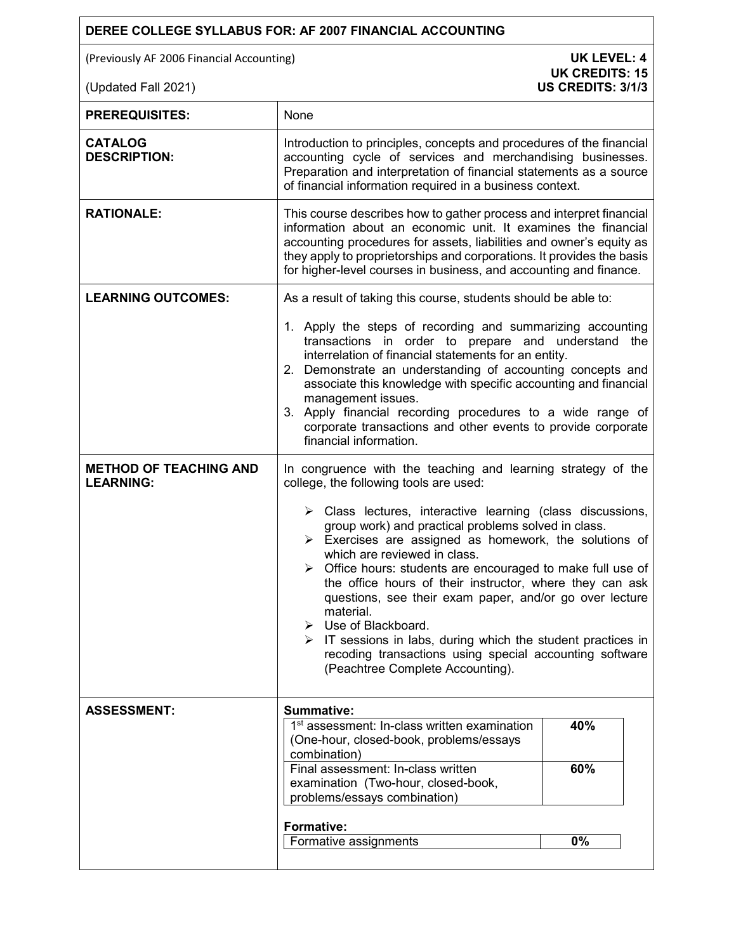## **DEREE COLLEGE SYLLABUS FOR: AF 2007 FINANCIAL ACCOUNTING**

(Previously AF 2006 Financial Accounting) **UK LEVEL: 4** 

| <b>PREREQUISITES:</b>                             | None                                                                                                                                                                                                                                                                                                                                                                                                                                                                                                                                                                                                                                                                             |     |
|---------------------------------------------------|----------------------------------------------------------------------------------------------------------------------------------------------------------------------------------------------------------------------------------------------------------------------------------------------------------------------------------------------------------------------------------------------------------------------------------------------------------------------------------------------------------------------------------------------------------------------------------------------------------------------------------------------------------------------------------|-----|
| <b>CATALOG</b><br><b>DESCRIPTION:</b>             | Introduction to principles, concepts and procedures of the financial<br>accounting cycle of services and merchandising businesses.<br>Preparation and interpretation of financial statements as a source<br>of financial information required in a business context.                                                                                                                                                                                                                                                                                                                                                                                                             |     |
| <b>RATIONALE:</b>                                 | This course describes how to gather process and interpret financial<br>information about an economic unit. It examines the financial<br>accounting procedures for assets, liabilities and owner's equity as<br>they apply to proprietorships and corporations. It provides the basis<br>for higher-level courses in business, and accounting and finance.                                                                                                                                                                                                                                                                                                                        |     |
| <b>LEARNING OUTCOMES:</b>                         | As a result of taking this course, students should be able to:                                                                                                                                                                                                                                                                                                                                                                                                                                                                                                                                                                                                                   |     |
|                                                   | 1. Apply the steps of recording and summarizing accounting<br>transactions in order to prepare and understand the<br>interrelation of financial statements for an entity.<br>2. Demonstrate an understanding of accounting concepts and<br>associate this knowledge with specific accounting and financial<br>management issues.<br>3. Apply financial recording procedures to a wide range of<br>corporate transactions and other events to provide corporate<br>financial information.                                                                                                                                                                                         |     |
| <b>METHOD OF TEACHING AND</b><br><b>LEARNING:</b> | In congruence with the teaching and learning strategy of the<br>college, the following tools are used:                                                                                                                                                                                                                                                                                                                                                                                                                                                                                                                                                                           |     |
|                                                   | $\triangleright$ Class lectures, interactive learning (class discussions,<br>group work) and practical problems solved in class.<br>$\triangleright$ Exercises are assigned as homework, the solutions of<br>which are reviewed in class.<br>$\triangleright$ Office hours: students are encouraged to make full use of<br>the office hours of their instructor, where they can ask<br>questions, see their exam paper, and/or go over lecture<br>material.<br>$\triangleright$ Use of Blackboard.<br>$\triangleright$ IT sessions in labs, during which the student practices in<br>recoding transactions using special accounting software<br>(Peachtree Complete Accounting). |     |
| <b>ASSESSMENT:</b>                                | <b>Summative:</b><br>1 <sup>st</sup> assessment: In-class written examination                                                                                                                                                                                                                                                                                                                                                                                                                                                                                                                                                                                                    | 40% |
|                                                   | (One-hour, closed-book, problems/essays<br>combination)                                                                                                                                                                                                                                                                                                                                                                                                                                                                                                                                                                                                                          |     |
|                                                   | Final assessment: In-class written<br>examination (Two-hour, closed-book,<br>problems/essays combination)                                                                                                                                                                                                                                                                                                                                                                                                                                                                                                                                                                        | 60% |
|                                                   | Formative:                                                                                                                                                                                                                                                                                                                                                                                                                                                                                                                                                                                                                                                                       |     |
|                                                   | Formative assignments                                                                                                                                                                                                                                                                                                                                                                                                                                                                                                                                                                                                                                                            | 0%  |
|                                                   |                                                                                                                                                                                                                                                                                                                                                                                                                                                                                                                                                                                                                                                                                  |     |